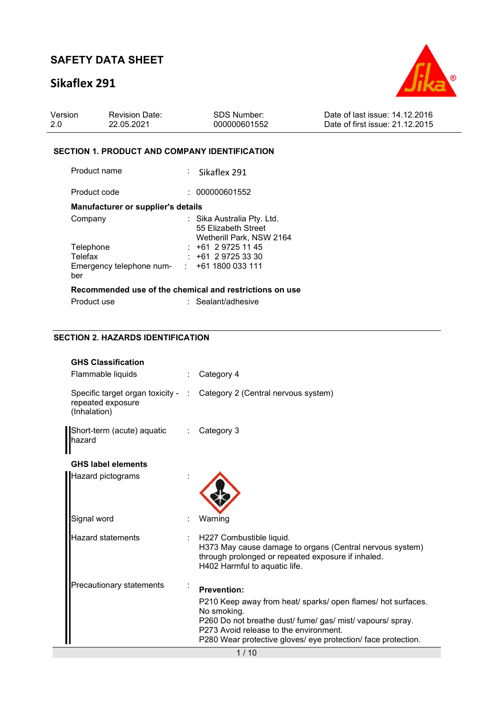# **Sikaflex 291**



| Version | <b>Revision Date:</b> | SDS Number:  | Date of last issue: 14,12,2016  |
|---------|-----------------------|--------------|---------------------------------|
| -2.0    | 22.05.2021            | 000000601552 | Date of first issue: 21.12.2015 |

#### **SECTION 1. PRODUCT AND COMPANY IDENTIFICATION**

Product name : Sikaflex 291

Product code : 000000601552 **Manufacturer or supplier's details** 

| Company                                                 |  | : Sika Australia Pty. Ltd.<br>55 Elizabeth Street |  |  |  |
|---------------------------------------------------------|--|---------------------------------------------------|--|--|--|
|                                                         |  | Wetherill Park, NSW 2164                          |  |  |  |
| Telephone                                               |  | $: +61297251145$                                  |  |  |  |
| Telefax                                                 |  | $: +61297253330$                                  |  |  |  |
| Emergency telephone num-                                |  | $: +611800033111$                                 |  |  |  |
| ber                                                     |  |                                                   |  |  |  |
| Recommended use of the chemical and restrictions on use |  |                                                   |  |  |  |

| Product use | : Sealant/adhesive |
|-------------|--------------------|
|-------------|--------------------|

## **SECTION 2. HAZARDS IDENTIFICATION**

| <b>GHS Classification</b><br>Flammable liquids | Category 4                                                                                                                                                                                                                                           |
|------------------------------------------------|------------------------------------------------------------------------------------------------------------------------------------------------------------------------------------------------------------------------------------------------------|
| repeated exposure<br>(Inhalation)              | Specific target organ toxicity - : Category 2 (Central nervous system)                                                                                                                                                                               |
| Short-term (acute) aquatic<br>hazard           | Category 3                                                                                                                                                                                                                                           |
| <b>GHS label elements</b>                      |                                                                                                                                                                                                                                                      |
| Hazard pictograms                              |                                                                                                                                                                                                                                                      |
| Signal word                                    | Warning                                                                                                                                                                                                                                              |
| Hazard statements                              | H227 Combustible liquid.<br>H373 May cause damage to organs (Central nervous system)<br>through prolonged or repeated exposure if inhaled.<br>H402 Harmful to aquatic life.                                                                          |
| Precautionary statements                       | <b>Prevention:</b>                                                                                                                                                                                                                                   |
|                                                | P210 Keep away from heat/ sparks/ open flames/ hot surfaces.<br>No smoking.<br>P260 Do not breathe dust/ fume/ gas/ mist/ vapours/ spray.<br>P273 Avoid release to the environment.<br>P280 Wear protective gloves/ eye protection/ face protection. |
|                                                | 1/10                                                                                                                                                                                                                                                 |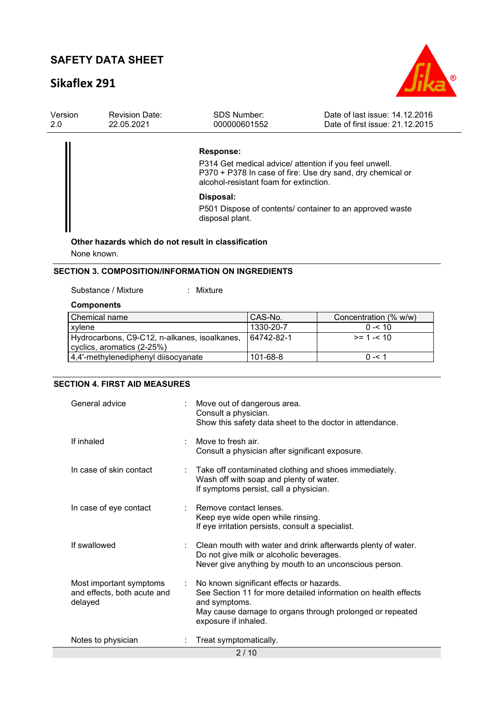# **Sikaflex 291**



| Version<br>2.0 | <b>Revision Date:</b><br>22.05.2021 | <b>SDS Number:</b><br>000000601552                                                                            | Date of last issue: 14.12.2016<br>Date of first issue: 21.12.2015 |
|----------------|-------------------------------------|---------------------------------------------------------------------------------------------------------------|-------------------------------------------------------------------|
|                |                                     | Response:<br>P314 Get medical advice/ attention if you feel unwell.<br>alcohol-resistant foam for extinction. | P370 + P378 In case of fire: Use dry sand, dry chemical or        |
|                |                                     | Disposal:<br>disposal plant.<br>Other hazards which do not result in classification                           | P501 Dispose of contents/ container to an approved waste          |

None known.

#### **SECTION 3. COMPOSITION/INFORMATION ON INGREDIENTS**

Substance / Mixture : Mixture :

#### **Components**

| l Chemical name                              | CAS-No.    | Concentration (% w/w) |
|----------------------------------------------|------------|-----------------------|
| xylene                                       | 1330-20-7  | $0 - 10$              |
| Hydrocarbons, C9-C12, n-alkanes, isoalkanes, | 64742-82-1 | $>= 1 - 1.10$         |
| cyclics, aromatics (2-25%)                   |            |                       |
| 4,4'-methylenediphenyl diisocyanate          | 101-68-8   | በ -< 1                |

### **SECTION 4. FIRST AID MEASURES**

| General advice                                                    |                              | Move out of dangerous area.<br>Consult a physician.<br>Show this safety data sheet to the doctor in attendance.                                                                                                 |
|-------------------------------------------------------------------|------------------------------|-----------------------------------------------------------------------------------------------------------------------------------------------------------------------------------------------------------------|
| If inhaled                                                        |                              | Move to fresh air.<br>Consult a physician after significant exposure.                                                                                                                                           |
| In case of skin contact                                           |                              | : Take off contaminated clothing and shoes immediately.<br>Wash off with soap and plenty of water.<br>If symptoms persist, call a physician.                                                                    |
| In case of eye contact                                            |                              | Remove contact lenses.<br>Keep eye wide open while rinsing.<br>If eye irritation persists, consult a specialist.                                                                                                |
| If swallowed                                                      |                              | Clean mouth with water and drink afterwards plenty of water.<br>Do not give milk or alcoholic beverages.<br>Never give anything by mouth to an unconscious person.                                              |
| Most important symptoms<br>and effects, both acute and<br>delayed | $\mathcal{L}_{\mathrm{max}}$ | No known significant effects or hazards.<br>See Section 11 for more detailed information on health effects<br>and symptoms.<br>May cause damage to organs through prolonged or repeated<br>exposure if inhaled. |
| Notes to physician                                                |                              | Treat symptomatically.<br>0.140                                                                                                                                                                                 |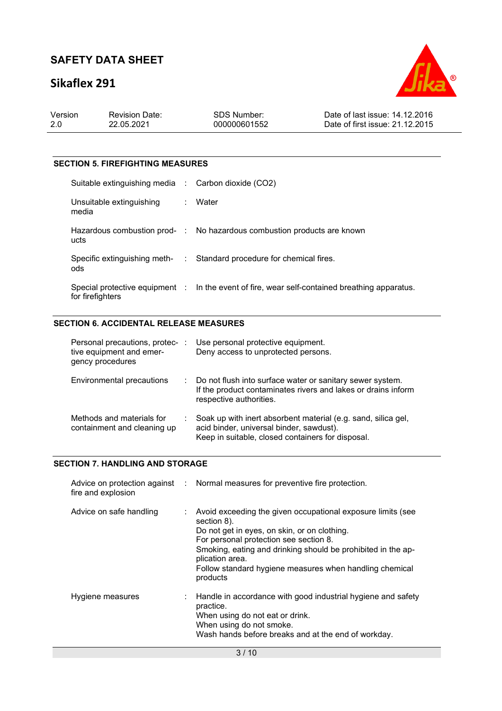# **Sikaflex 291**



| Version | <b>Revision Date:</b> | SDS Number:  | Date of last issue: 14,12,2016  |
|---------|-----------------------|--------------|---------------------------------|
| -2.0    | 22.05.2021            | 000000601552 | Date of first issue: 21.12.2015 |
|         |                       |              |                                 |

### **SECTION 5. FIREFIGHTING MEASURES**

| Suitable extinguishing media : Carbon dioxide (CO2) |                                                                                               |
|-----------------------------------------------------|-----------------------------------------------------------------------------------------------|
| Unsuitable extinguishing<br>media                   | : Water                                                                                       |
| ucts                                                | Hazardous combustion prod- : No hazardous combustion products are known                       |
| ods                                                 | Specific extinguishing meth- : Standard procedure for chemical fires.                         |
| for firefighters                                    | Special protective equipment : ln the event of fire, wear self-contained breathing apparatus. |

## **SECTION 6. ACCIDENTAL RELEASE MEASURES**

| Personal precautions, protec- :<br>tive equipment and emer-<br>gency procedures |    | Use personal protective equipment.<br>Deny access to unprotected persons.                                                                                      |
|---------------------------------------------------------------------------------|----|----------------------------------------------------------------------------------------------------------------------------------------------------------------|
| Environmental precautions                                                       | ÷. | Do not flush into surface water or sanitary sewer system.<br>If the product contaminates rivers and lakes or drains inform<br>respective authorities.          |
| Methods and materials for<br>containment and cleaning up                        |    | Soak up with inert absorbent material (e.g. sand, silica gel,<br>acid binder, universal binder, sawdust).<br>Keep in suitable, closed containers for disposal. |

### **SECTION 7. HANDLING AND STORAGE**

| fire and explosion      | Advice on protection against : Normal measures for preventive fire protection.                                                                                                                                                                                                                                                 |
|-------------------------|--------------------------------------------------------------------------------------------------------------------------------------------------------------------------------------------------------------------------------------------------------------------------------------------------------------------------------|
| Advice on safe handling | Avoid exceeding the given occupational exposure limits (see<br>section 8).<br>Do not get in eyes, on skin, or on clothing.<br>For personal protection see section 8.<br>Smoking, eating and drinking should be prohibited in the ap-<br>plication area.<br>Follow standard hygiene measures when handling chemical<br>products |
| Hygiene measures        | : Handle in accordance with good industrial hygiene and safety<br>practice.<br>When using do not eat or drink.<br>When using do not smoke.<br>Wash hands before breaks and at the end of workday.                                                                                                                              |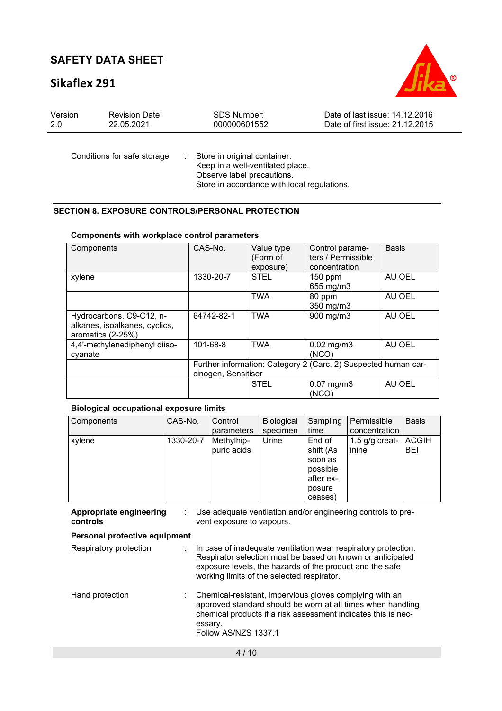## **Sikaflex 291**



| Version | <b>Revision Date:</b>       | SDS Number:                                                        | Date of last issue: 14.12.2016  |
|---------|-----------------------------|--------------------------------------------------------------------|---------------------------------|
| 2.0     | 22.05.2021                  | 000000601552                                                       | Date of first issue: 21.12.2015 |
|         | Conditions for safe storage | : Store in original container.<br>Keep in a well-ventilated place. |                                 |

Observe label precautions.

Store in accordance with local regulations.

### **SECTION 8. EXPOSURE CONTROLS/PERSONAL PROTECTION**

#### **Components with workplace control parameters**

| Components                                                                     | CAS-No.                                                                               | Value type<br>(Form of<br>exposure) | Control parame-<br>ters / Permissible<br>concentration | <b>Basis</b> |
|--------------------------------------------------------------------------------|---------------------------------------------------------------------------------------|-------------------------------------|--------------------------------------------------------|--------------|
| xylene                                                                         | 1330-20-7                                                                             | <b>STEL</b>                         | 150 ppm<br>655 mg/m3                                   | AU OEL       |
|                                                                                |                                                                                       | <b>TWA</b>                          | 80 ppm<br>350 mg/m3                                    | AU OEL       |
| Hydrocarbons, C9-C12, n-<br>alkanes, isoalkanes, cyclics,<br>aromatics (2-25%) | 64742-82-1                                                                            | <b>TWA</b>                          | 900 mg/m3                                              | AU OEL       |
| 4,4'-methylenediphenyl diiso-<br>cyanate                                       | 101-68-8                                                                              | <b>TWA</b>                          | $0.02$ mg/m $3$<br>(NCO)                               | AU OEL       |
|                                                                                | Further information: Category 2 (Carc. 2) Suspected human car-<br>cinogen, Sensitiser |                                     |                                                        |              |
|                                                                                |                                                                                       | <b>STEL</b>                         | $0.07$ mg/m $3$<br>(NCO)                               | AU OEL       |

#### **Biological occupational exposure limits**

| Components | CAS-No.   | Control     | <b>Biological</b> | Sampling  | Permissible      | <b>Basis</b> |
|------------|-----------|-------------|-------------------|-----------|------------------|--------------|
|            |           | parameters  | specimen          | time      | concentration    |              |
| xylene     | 1330-20-7 | Methylhip-  | Urine             | End of    | 1.5 $q/q$ creat- | ACGIH        |
|            |           | puric acids |                   | shift (As | inine            | <b>BEI</b>   |
|            |           |             |                   | soon as   |                  |              |
|            |           |             |                   | possible  |                  |              |
|            |           |             |                   | after ex- |                  |              |
|            |           |             |                   | posure    |                  |              |
|            |           |             |                   | ceases)   |                  |              |

| Appropriate engineering<br>controls | Use adequate ventilation and/or engineering controls to pre-<br>vent exposure to vapours.                                                                                                                                              |
|-------------------------------------|----------------------------------------------------------------------------------------------------------------------------------------------------------------------------------------------------------------------------------------|
| Personal protective equipment       |                                                                                                                                                                                                                                        |
| Respiratory protection              | In case of inadequate ventilation wear respiratory protection.<br>Respirator selection must be based on known or anticipated<br>exposure levels, the hazards of the product and the safe<br>working limits of the selected respirator. |
| Hand protection                     | Chemical-resistant, impervious gloves complying with an<br>approved standard should be worn at all times when handling<br>chemical products if a risk assessment indicates this is nec-<br>essary.<br>Follow AS/NZS 1337.1             |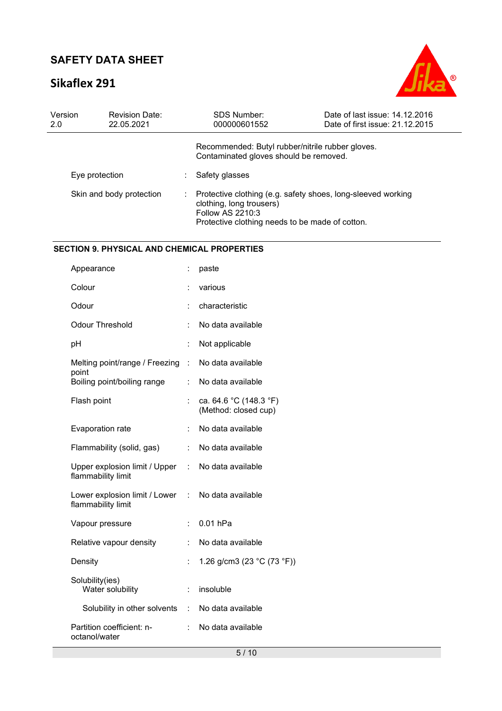# **Sikaflex 291**



| Version<br>2.0 | <b>Revision Date:</b><br>22.05.2021 | SDS Number:<br>000000601552                                                                            | Date of last issue: 14.12.2016<br>Date of first issue: 21.12.2015 |
|----------------|-------------------------------------|--------------------------------------------------------------------------------------------------------|-------------------------------------------------------------------|
|                |                                     | Recommended: Butyl rubber/nitrile rubber gloves.<br>Contaminated gloves should be removed.             |                                                                   |
|                | Eye protection                      | Safety glasses                                                                                         |                                                                   |
|                | Skin and body protection            | clothing, long trousers)<br><b>Follow AS 2210:3</b><br>Protective clothing needs to be made of cotton. | Protective clothing (e.g. safety shoes, long-sleeved working      |

#### **SECTION 9. PHYSICAL AND CHEMICAL PROPERTIES**

| Appearance                                                              | ÷. | paste                                          |
|-------------------------------------------------------------------------|----|------------------------------------------------|
| Colour                                                                  |    | various                                        |
| Odour                                                                   |    | characteristic                                 |
| <b>Odour Threshold</b>                                                  | t. | No data available                              |
| рH                                                                      | t. | Not applicable                                 |
| Melting point/range / Freezing :                                        |    | No data available                              |
| point<br>Boiling point/boiling range                                    | t. | No data available                              |
| Flash point                                                             |    | ca. 64.6 °C (148.3 °F)<br>(Method: closed cup) |
| Evaporation rate                                                        |    | No data available                              |
| Flammability (solid, gas)                                               | ÷. | No data available                              |
| Upper explosion limit / Upper :<br>flammability limit                   |    | No data available                              |
| Lower explosion limit / Lower : No data available<br>flammability limit |    |                                                |
| Vapour pressure                                                         | ÷. | $0.01$ hPa                                     |
| Relative vapour density                                                 |    | No data available                              |
| Density                                                                 | t. | 1.26 g/cm3 (23 $°C$ (73 $°F$ ))                |
| Solubility(ies)<br>Water solubility                                     | t. | insoluble                                      |
| Solubility in other solvents : No data available                        |    |                                                |
| Partition coefficient: n-<br>octanol/water                              | t. | No data available                              |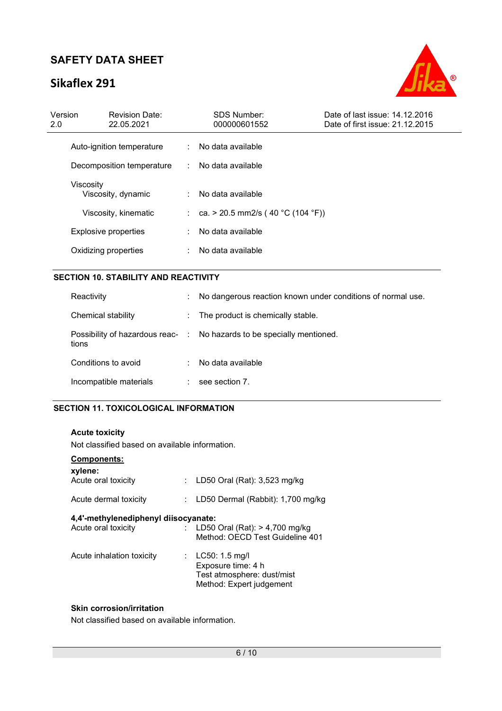# **Sikaflex 291**



| Version<br>2.0 | <b>Revision Date:</b><br>22.05.2021 | <b>SDS Number:</b><br>000000601552  | Date of last issue: 14.12.2016<br>Date of first issue: 21.12.2015 |
|----------------|-------------------------------------|-------------------------------------|-------------------------------------------------------------------|
|                | Auto-ignition temperature           | : No data available                 |                                                                   |
|                | Decomposition temperature           | : No data available                 |                                                                   |
|                | Viscosity<br>Viscosity, dynamic     | : No data available                 |                                                                   |
|                | Viscosity, kinematic                | : ca. > 20.5 mm2/s (40 °C (104 °F)) |                                                                   |
|                | <b>Explosive properties</b>         | No data available                   |                                                                   |
|                | Oxidizing properties                | No data available                   |                                                                   |
|                |                                     |                                     |                                                                   |

### **SECTION 10. STABILITY AND REACTIVITY**

| Reactivity                                | ÷                        | No dangerous reaction known under conditions of normal use. |
|-------------------------------------------|--------------------------|-------------------------------------------------------------|
| Chemical stability                        | $\mathcal{L}_{\rm{max}}$ | The product is chemically stable.                           |
| Possibility of hazardous reac- :<br>tions |                          | No hazards to be specially mentioned.                       |
| Conditions to avoid                       | ÷                        | No data available                                           |
| Incompatible materials                    |                          | see section 7.                                              |

### **SECTION 11. TOXICOLOGICAL INFORMATION**

**Acute toxicity**  Not classified based on available information.

| Components:<br>xylene:<br>Acute oral toxicity               | ÷. | LD50 Oral (Rat): 3,523 mg/kg                                                                               |
|-------------------------------------------------------------|----|------------------------------------------------------------------------------------------------------------|
| Acute dermal toxicity                                       |    | LD50 Dermal (Rabbit): 1,700 mg/kg                                                                          |
| 4,4'-methylenediphenyl diisocyanate:<br>Acute oral toxicity |    | : LD50 Oral (Rat): $> 4,700$ mg/kg<br>Method: OECD Test Guideline 401                                      |
| Acute inhalation toxicity                                   |    | : $LC50: 1.5 \text{ mq/l}$<br>Exposure time: 4 h<br>Test atmosphere: dust/mist<br>Method: Expert judgement |

## **Skin corrosion/irritation**

Not classified based on available information.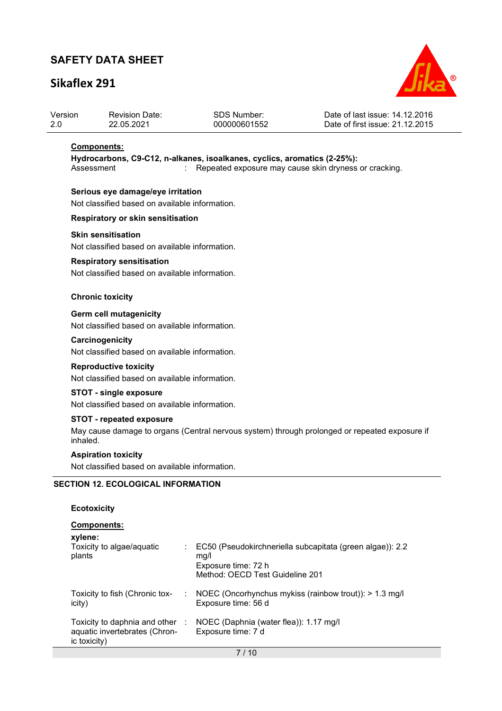# **Sikaflex 291**



| Version | <b>Revision Date:</b> | <b>SDS Number:</b> | Date of last issue: 14.12.2016  |
|---------|-----------------------|--------------------|---------------------------------|
| -2.0    | 22.05.2021            | 000000601552       | Date of first issue: 21.12.2015 |

#### **Components:**

**Hydrocarbons, C9-C12, n-alkanes, isoalkanes, cyclics, aromatics (2-25%):**  Assessment : Repeated exposure may cause skin dryness or cracking.

#### **Serious eye damage/eye irritation**

Not classified based on available information.

#### **Respiratory or skin sensitisation**

#### **Skin sensitisation**

Not classified based on available information.

#### **Respiratory sensitisation**

Not classified based on available information.

#### **Chronic toxicity**

#### **Germ cell mutagenicity**

Not classified based on available information.

#### **Carcinogenicity**

Not classified based on available information.

#### **Reproductive toxicity**

Not classified based on available information.

### **STOT - single exposure**

Not classified based on available information.

#### **STOT - repeated exposure**

May cause damage to organs (Central nervous system) through prolonged or repeated exposure if inhaled.

#### **Aspiration toxicity**

Not classified based on available information.

#### **SECTION 12. ECOLOGICAL INFORMATION**

#### **Ecotoxicity**

| <b>Components:</b><br>xylene:                                                    |                |                                                                                                                             |
|----------------------------------------------------------------------------------|----------------|-----------------------------------------------------------------------------------------------------------------------------|
| Toxicity to algae/aquatic<br>plants                                              |                | EC50 (Pseudokirchneriella subcapitata (green algae)): 2.2<br>mq/l<br>Exposure time: 72 h<br>Method: OECD Test Guideline 201 |
| Toxicity to fish (Chronic tox-<br>icity)                                         | <b>College</b> | NOEC (Oncorhynchus mykiss (rainbow trout)): $> 1.3$ mg/l<br>Exposure time: 56 d                                             |
| Toxicity to daphnia and other :<br>aquatic invertebrates (Chron-<br>ic toxicity) |                | NOEC (Daphnia (water flea)): 1.17 mg/l<br>Exposure time: 7 d                                                                |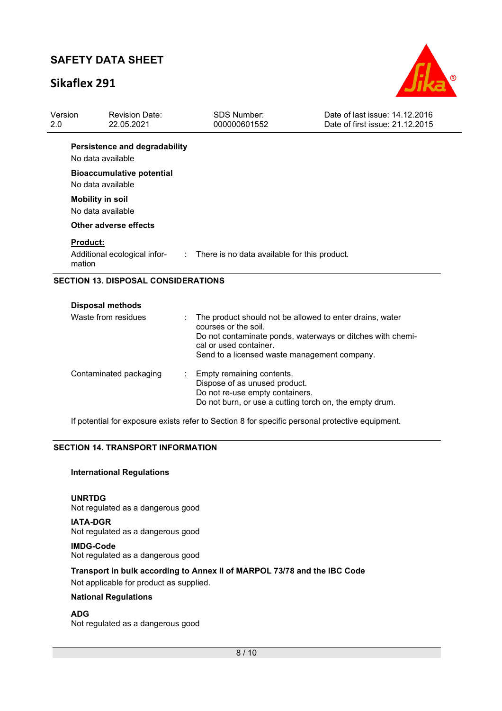# **Sikaflex 291**



| Version<br>2.0            | <b>Revision Date:</b><br>22.05.2021                       | <b>SDS Number:</b><br>000000601552                                                                                                                                                                                       | Date of last issue: 14.12.2016<br>Date of first issue: 21.12.2015 |
|---------------------------|-----------------------------------------------------------|--------------------------------------------------------------------------------------------------------------------------------------------------------------------------------------------------------------------------|-------------------------------------------------------------------|
|                           | <b>Persistence and degradability</b><br>No data available |                                                                                                                                                                                                                          |                                                                   |
|                           | <b>Bioaccumulative potential</b><br>No data available     |                                                                                                                                                                                                                          |                                                                   |
|                           | <b>Mobility in soil</b><br>No data available              |                                                                                                                                                                                                                          |                                                                   |
|                           | Other adverse effects                                     |                                                                                                                                                                                                                          |                                                                   |
| <b>Product:</b><br>mation |                                                           | Additional ecological infor- : There is no data available for this product.                                                                                                                                              |                                                                   |
|                           | <b>SECTION 13. DISPOSAL CONSIDERATIONS</b>                |                                                                                                                                                                                                                          |                                                                   |
|                           | <b>Disposal methods</b>                                   |                                                                                                                                                                                                                          |                                                                   |
|                           | Waste from residues                                       | The product should not be allowed to enter drains, water<br>courses or the soil.<br>Do not contaminate ponds, waterways or ditches with chemi-<br>cal or used container.<br>Send to a licensed waste management company. |                                                                   |

| Contaminated packaging | Empty remaining contents.<br>Dispose of as unused product.<br>Do not re-use empty containers.<br>Do not burn, or use a cutting torch on, the empty drum. |
|------------------------|----------------------------------------------------------------------------------------------------------------------------------------------------------|
|                        |                                                                                                                                                          |

If potential for exposure exists refer to Section 8 for specific personal protective equipment.

#### **SECTION 14. TRANSPORT INFORMATION**

#### **International Regulations**

**UNRTDG**

Not regulated as a dangerous good

**IATA-DGR** Not regulated as a dangerous good **IMDG-Code**

Not regulated as a dangerous good

**Transport in bulk according to Annex II of MARPOL 73/78 and the IBC Code** 

Not applicable for product as supplied.

## **National Regulations**

**ADG**

Not regulated as a dangerous good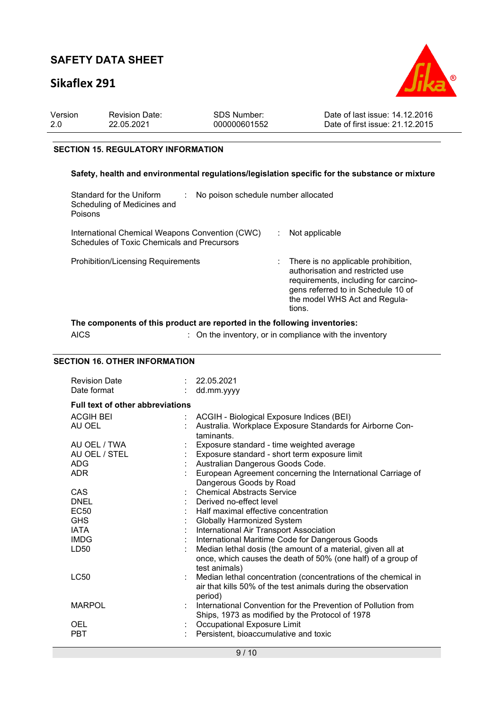# **Sikaflex 291**



| -2.0<br>22.05.2021<br>000000601552 | Version | <b>Revision Date:</b> | SDS Number: | Date of last issue: 14.12.2016<br>Date of first issue: 21.12.2015 |
|------------------------------------|---------|-----------------------|-------------|-------------------------------------------------------------------|
|------------------------------------|---------|-----------------------|-------------|-------------------------------------------------------------------|

#### **SECTION 15. REGULATORY INFORMATION**

### **Safety, health and environmental regulations/legislation specific for the substance or mixture**

| Standard for the Uniform<br>No poison schedule number allocated<br>Scheduling of Medicines and<br>Poisons |                                                                                                                                                                                                  |
|-----------------------------------------------------------------------------------------------------------|--------------------------------------------------------------------------------------------------------------------------------------------------------------------------------------------------|
| International Chemical Weapons Convention (CWC)<br>Schedules of Toxic Chemicals and Precursors            | Not applicable                                                                                                                                                                                   |
| <b>Prohibition/Licensing Requirements</b>                                                                 | There is no applicable prohibition,<br>authorisation and restricted use<br>requirements, including for carcino-<br>gens referred to in Schedule 10 of<br>the model WHS Act and Regula-<br>tions. |

## **The components of this product are reported in the following inventories:**

AICS : On the inventory, or in compliance with the inventory

## **SECTION 16. OTHER INFORMATION**

| <b>Revision Date</b><br>Date format     |  | 22.05.2021<br>dd.mm.yyyy                                                                                                                     |  |  |  |  |  |
|-----------------------------------------|--|----------------------------------------------------------------------------------------------------------------------------------------------|--|--|--|--|--|
| <b>Full text of other abbreviations</b> |  |                                                                                                                                              |  |  |  |  |  |
| <b>ACGIH BEI</b>                        |  | ACGIH - Biological Exposure Indices (BEI)                                                                                                    |  |  |  |  |  |
| AU OEL                                  |  | Australia. Workplace Exposure Standards for Airborne Con-<br>taminants.                                                                      |  |  |  |  |  |
| AU OEL / TWA                            |  | Exposure standard - time weighted average                                                                                                    |  |  |  |  |  |
| AU OEL / STEL                           |  | Exposure standard - short term exposure limit                                                                                                |  |  |  |  |  |
| <b>ADG</b>                              |  | Australian Dangerous Goods Code.                                                                                                             |  |  |  |  |  |
| ADR.                                    |  | European Agreement concerning the International Carriage of<br>Dangerous Goods by Road                                                       |  |  |  |  |  |
| <b>CAS</b>                              |  | <b>Chemical Abstracts Service</b>                                                                                                            |  |  |  |  |  |
| <b>DNEL</b>                             |  | : Derived no-effect level                                                                                                                    |  |  |  |  |  |
| EC50                                    |  | Half maximal effective concentration                                                                                                         |  |  |  |  |  |
| <b>GHS</b>                              |  | <b>Globally Harmonized System</b>                                                                                                            |  |  |  |  |  |
| <b>IATA</b>                             |  | International Air Transport Association                                                                                                      |  |  |  |  |  |
| <b>IMDG</b>                             |  | International Maritime Code for Dangerous Goods                                                                                              |  |  |  |  |  |
| LD50                                    |  | Median lethal dosis (the amount of a material, given all at<br>once, which causes the death of 50% (one half) of a group of<br>test animals) |  |  |  |  |  |
| <b>LC50</b>                             |  | Median lethal concentration (concentrations of the chemical in<br>air that kills 50% of the test animals during the observation<br>period)   |  |  |  |  |  |
| <b>MARPOL</b>                           |  | International Convention for the Prevention of Pollution from<br>Ships, 1973 as modified by the Protocol of 1978                             |  |  |  |  |  |
| <b>OEL</b>                              |  | Occupational Exposure Limit                                                                                                                  |  |  |  |  |  |
| <b>PBT</b>                              |  | Persistent, bioaccumulative and toxic                                                                                                        |  |  |  |  |  |